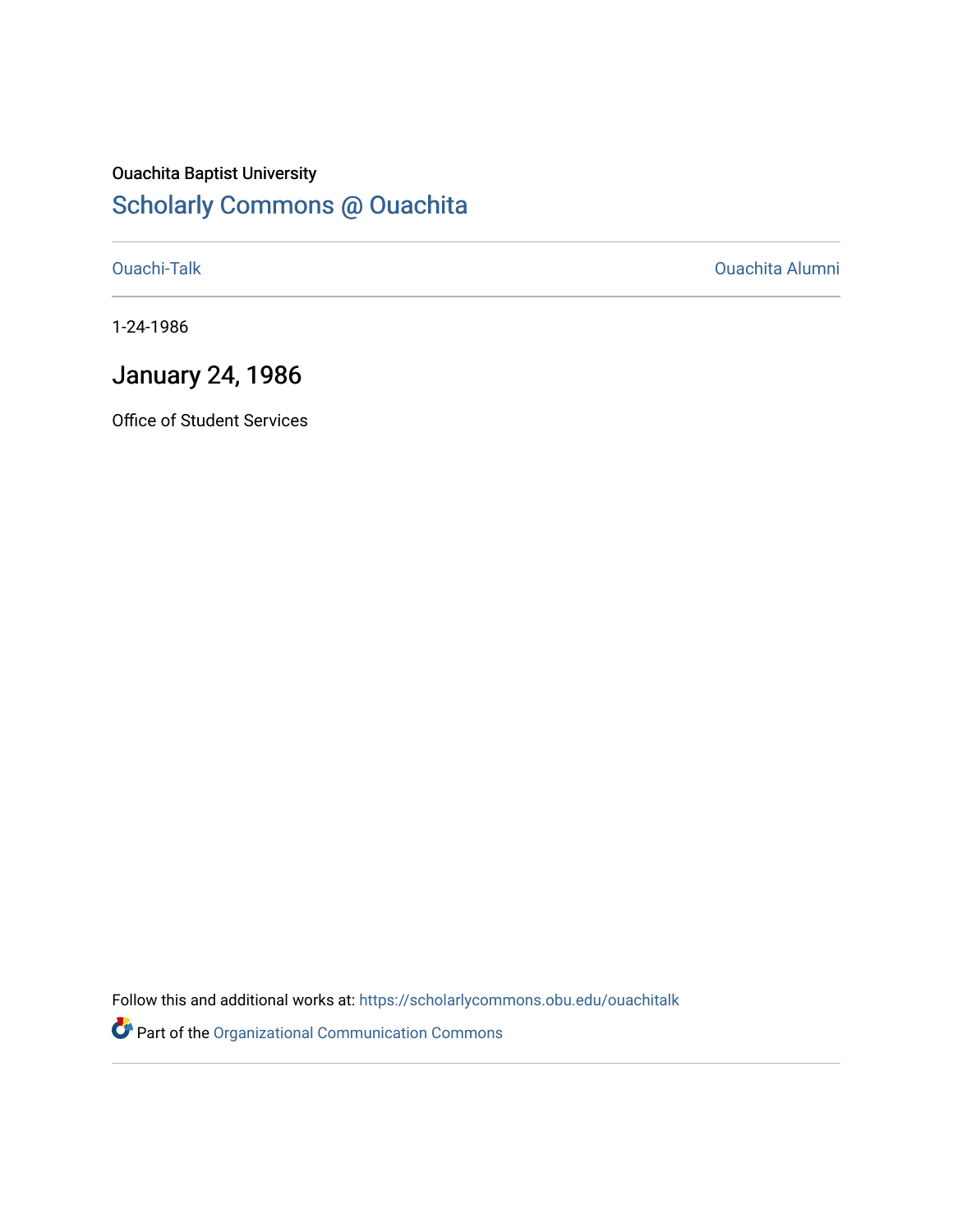### Ouachita Baptist University

### [Scholarly Commons @ Ouachita](https://scholarlycommons.obu.edu/)

[Ouachi-Talk](https://scholarlycommons.obu.edu/ouachitalk) [Ouachita Alumni](https://scholarlycommons.obu.edu/obu_alum) 

1-24-1986

### January 24, 1986

Office of Student Services

Follow this and additional works at: [https://scholarlycommons.obu.edu/ouachitalk](https://scholarlycommons.obu.edu/ouachitalk?utm_source=scholarlycommons.obu.edu%2Fouachitalk%2F48&utm_medium=PDF&utm_campaign=PDFCoverPages) 

Part of the [Organizational Communication Commons](http://network.bepress.com/hgg/discipline/335?utm_source=scholarlycommons.obu.edu%2Fouachitalk%2F48&utm_medium=PDF&utm_campaign=PDFCoverPages)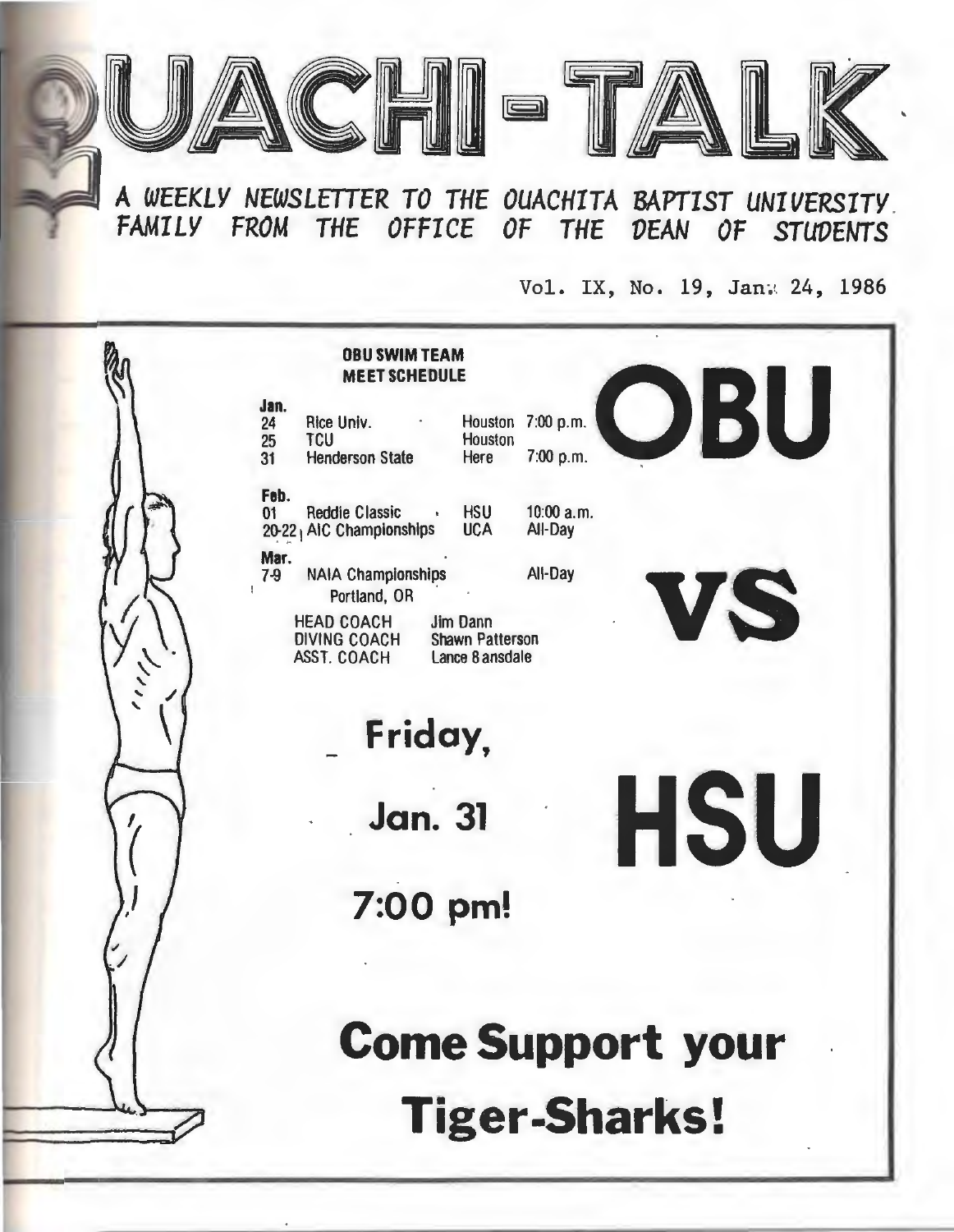

**<sup>A</sup>***WEEKLY NEWSLETTER TO THE OUACHITA* **BAPTIST** *UNIVERSITY . FAMILY FROM THE OFFICE OF THE VEAN OF STUVENTS* 

Vol. IX, No. 19, Jan: 24, 1986

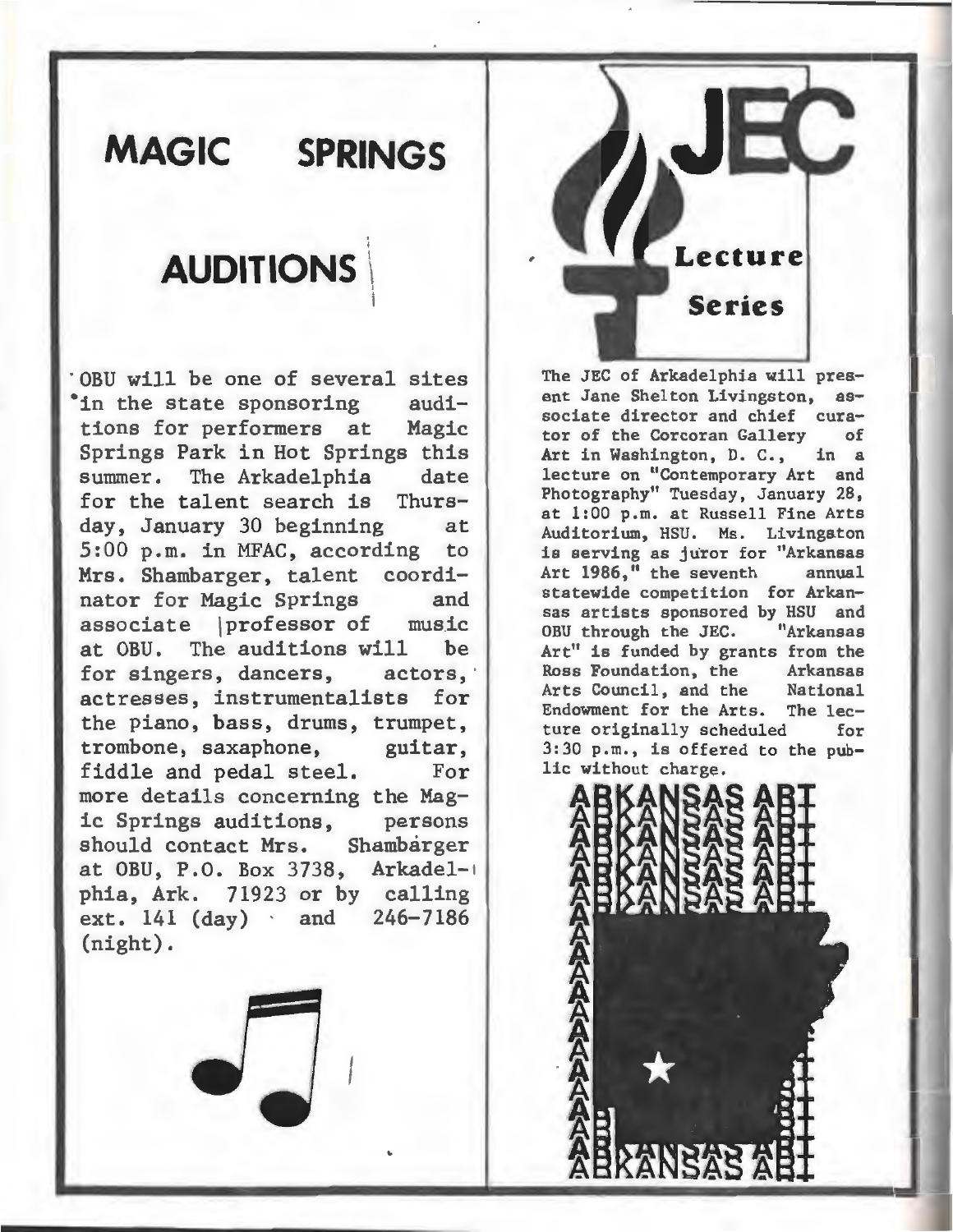## **MAGIC SPRINGS**

### **AUDITIONS \**

'

;

I

 $OBU$  will be one of several sites<br>in the state sponsoring audi-In the state sponsoring tions for performers at Magic Springs Park in Hot Springs this summer. The Arkadelphia date for the talent search is Thurs-<br>day, January 30 beginning at day, January 30 beginning 5:00 p.m. in MFAC, according to Mrs. Shambarger, talent coordinator for Magic Springs and associate \professor of music at OBU. The auditions will be for singers, dancers, actors, actresses, instrumentalists for the piano, bass, drums, trumpet, trombone, saxaphone, guitar, fiddle and pedal steel. For more details concerning the Magic Springs auditions, persons<br>should contact Mrs. Shambarger should contact Mrs. at OBU, P.O. Box 3738, Arkadel-+ phia, Ark. 71923 or by calling ext. 141 (day) and 246-7186 (night).

**Series**  The JEC of Arkadelphia will pres-

ent Jane Shelton Livingston, associate director and chief cura-<br>tor of the Coronan Gallery of tor of the Corcoran Gallery of<br>Art in Washington, D. C., in a Art in Washington, D. C., lecture on "Contemporary Art and Photography" Tuesday, January 28, at 1:00 p.m. at Russell Fine Arts Auditorium, HSU. Ms. Livingston is serving as juror for "Arkansas<br>Art 1986." the seventh annual Art 1986," the seventh statewide competition for Arkansas artists sponsored by HSU and OBU through the JEC. Art" is funded by grants from the<br>Ross Foundation, the arkansas Ross Foundation, the Arkansas<br>Arts Council, and the National Arts Council, and the Endowment for the Arts. The lec-<br>ture originally scheduled for ture originally scheduled 3:30 p.m., is offered to the public without charge.

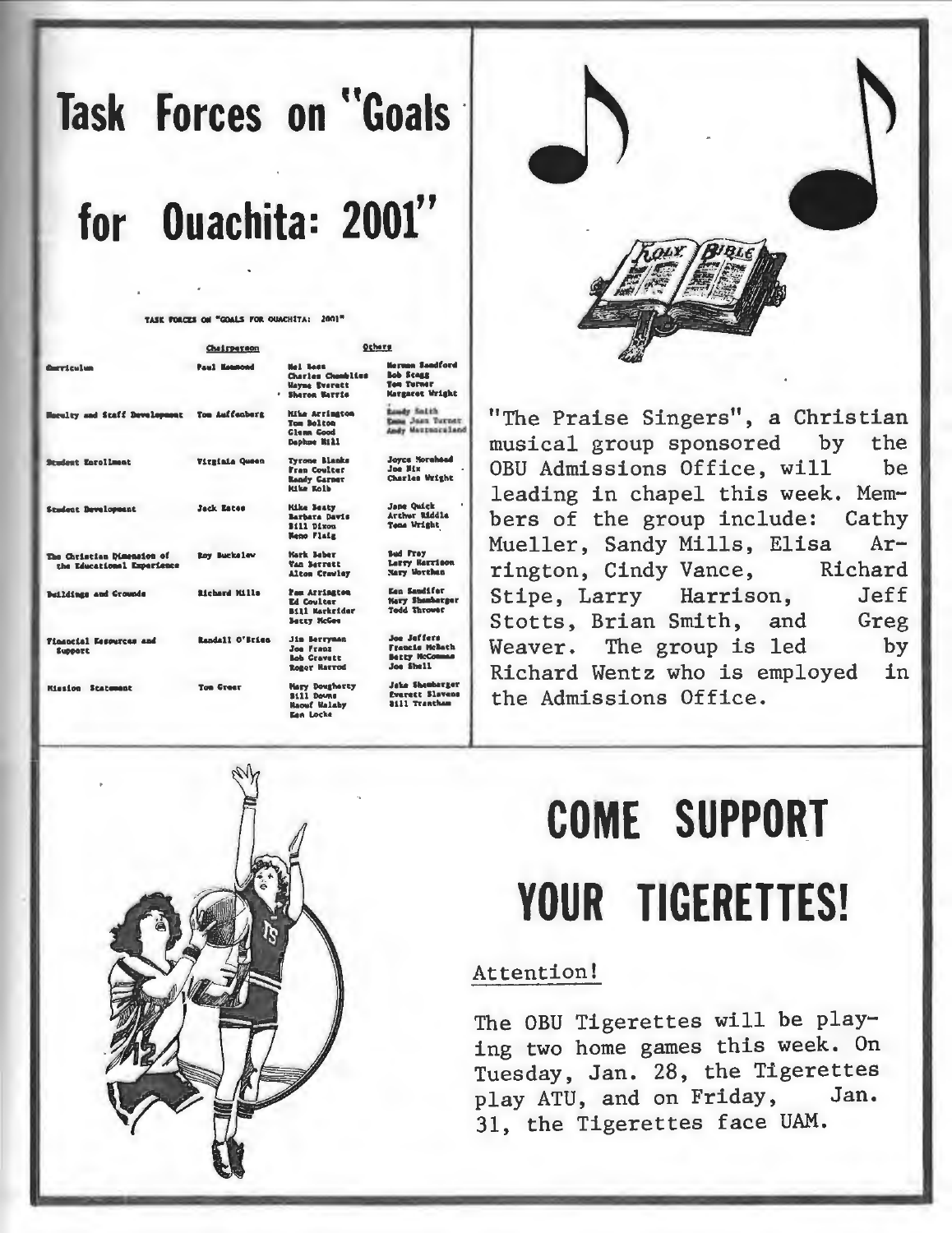# Task Forces on "Goals for Ouachita: 2001"

er Poerre of "COALS FOR OINFUITA: 2001

| <b>Corriculus</b>                                        | Chairperson          | Ochers                                                                                      |                                                                                    |
|----------------------------------------------------------|----------------------|---------------------------------------------------------------------------------------------|------------------------------------------------------------------------------------|
|                                                          | <b>Paul Keepood</b>  | <b>Mel Boos</b><br><b>Charles Chambling</b><br><b>Wayne Everett</b><br><b>Sharon Marris</b> | <b>Herman Sendford</b><br><b>Bob Steam</b><br><b>Ten Turner</b><br>Margaret Wright |
| Haralty and Staff Development Tom Auffenberg             |                      | <b>Mike Arrington</b><br>Tom Bolton<br><b>Clean Cood</b><br>Daphne Rill                     | <b>Bandy Solth</b><br>Rena Joan Turner.<br>Andy Maupunculand                       |
| <b>Student Enrollment</b>                                | Vitzinia Queen       | <b>Tyrone Blanks</b><br>Fran Coulter<br>Ready Carner<br><b>Kike Ealb</b>                    | <b>Joyce Morehead</b><br>Joe Mix<br>Charles Wright                                 |
| <b>Student Davelopment</b>                               | Jack Eates           | <b>Kike Beaty</b><br>Barbara Davis<br>Bill Dixon<br><b>Neno Flatz</b>                       | <b>Jane Ouick</b><br>Arthur Eiddle<br><b>Tens Wright</b>                           |
| The Christian Dimension of<br>the Educational Experience | <b>Roy Buckelow</b>  | Mark Beber<br>Van Berrett<br>Alton Crewley                                                  | <b>Sad Fray</b><br>Larry Rarrison<br><b>Nary Worthen</b>                           |
| Buildings and Crounds                                    | <b>Richard Kills</b> | Pas Arriagton<br><b>Ed Coulter</b><br><b>Bill Harkeider</b><br><b>Batty McGee</b>           | <b>Ean Sandifer</b><br><b>Nary Shanharger</b><br>Todd Thrower                      |
| Financial Essenzess and<br>SUPPOTE                       | Randall O'Brign      | <b>Jis Berrysan</b><br>Joe Franz<br><b>Bob Cravatt</b><br><b>ROBer Harrod</b>               | Joe Jeffers<br>Francis McBath<br><b>Bezzy NcComman</b><br>Joe Shell                |
| <b>Hission Statement</b>                                 | <b>Ton Crest</b>     | <b>Mary Dougherty</b><br>\$111 Doums<br>Racuf Walshy<br><b>Een Locke</b>                    | <b>Jake Shembarger</b><br><b>Everett Slavens</b><br>3411 Trantham                  |



"The Praise Singers", a Christian musical group sponsored by the OBU Admissions Office, will be leading in chapel this week. Members of the group include: Cathy Mueller, Sandy Mills, Elisa  $Ar$ rington, Cindy Vance, Richard Stipe, Larry Harrison, Jeff Stotts, Brian Smith, and Greg Weaver. The group is led by Richard Wentz who is employed in the Admissions Office.

# **COME SUPPORT** YOUR TIGERETTES!

#### Attention!

The OBU Tigerettes will be playing two home games this week. On Tuesday, Jan. 28, the Tigerettes play ATU, and on Friday, Jan. 31, the Tigerettes face UAM.